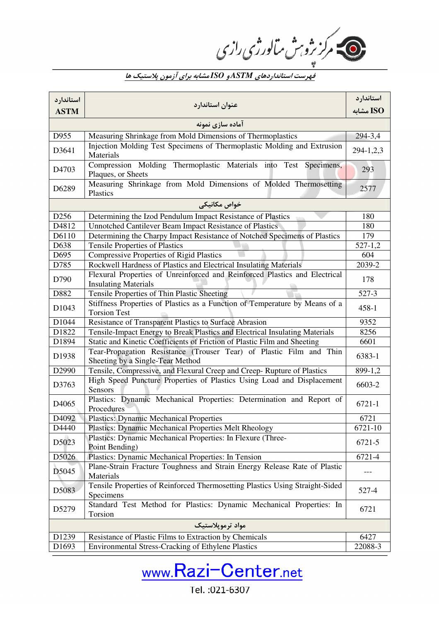فهرست استانداردهاي *ASTM* <sup>و</sup>*ISO* مشابه براي آزمون پلاستيك ها

| استاندار د        | عنوان استاندارد                                                                                           | استاندارد   |  |
|-------------------|-----------------------------------------------------------------------------------------------------------|-------------|--|
| <b>ASTM</b>       |                                                                                                           | ISO مشابه   |  |
| آماده سازي نمونه  |                                                                                                           |             |  |
| D955              | Measuring Shrinkage from Mold Dimensions of Thermoplastics                                                | 294-3,4     |  |
| D3641             | Injection Molding Test Specimens of Thermoplastic Molding and Extrusion<br>Materials                      | 294-1,2,3   |  |
| D4703             | Compression Molding Thermoplastic Materials into Test Specimens,<br>Plaques, or Sheets                    | 293         |  |
| D6289             | Measuring Shrinkage from Mold Dimensions of Molded Thermosetting<br>Plastics                              | 2577        |  |
|                   | خواص مکانیکی                                                                                              |             |  |
| D <sub>256</sub>  | Determining the Izod Pendulum Impact Resistance of Plastics                                               | 180         |  |
| D4812             | Unnotched Cantilever Beam Impact Resistance of Plastics                                                   | 180         |  |
| D6110             | Determining the Charpy Impact Resistance of Notched Specimens of Plastics                                 | 179         |  |
| D638              | <b>Tensile Properties of Plastics</b>                                                                     | $527 - 1,2$ |  |
| D695              | <b>Compressive Properties of Rigid Plastics</b>                                                           | 604         |  |
| D785              | Rockwell Hardness of Plastics and Electrical Insulating Materials                                         | 2039-2      |  |
| D790              | Flexural Properties of Unreinforced and Reinforced Plastics and Electrical<br><b>Insulating Materials</b> | 178         |  |
| D882              | Tensile Properties of Thin Plastic Sheeting                                                               | 527-3       |  |
| D1043             | Stiffness Properties of Plastics as a Function of Temperature by Means of a<br><b>Torsion Test</b>        | $458 - 1$   |  |
| D1044             | Resistance of Transparent Plastics to Surface Abrasion                                                    | 9352        |  |
| D1822             | Tensile-Impact Energy to Break Plastics and Electrical Insulating Materials                               | 8256        |  |
| D1894             | Static and Kinetic Coefficients of Friction of Plastic Film and Sheeting                                  | 6601        |  |
| D1938             | Tear-Propagation Resistance (Trouser Tear) of Plastic Film and Thin<br>Sheeting by a Single-Tear Method   | 6383-1      |  |
| D2990             | Tensile, Compressive, and Flexural Creep and Creep-Rupture of Plastics                                    | 899-1,2     |  |
| D3763             | High Speed Puncture Properties of Plastics Using Load and Displacement<br><b>Sensors</b>                  | 6603-2      |  |
| D <sub>4065</sub> | Plastics: Dynamic Mechanical Properties: Determination and Report of<br>Procedures                        | 6721-1      |  |
| D4092             | <b>Plastics: Dynamic Mechanical Properties</b>                                                            | 6721        |  |
| D4440             | Plastics: Dynamic Mechanical Properties Melt Rheology                                                     | 6721-10     |  |
| D5023             | Plastics: Dynamic Mechanical Properties: In Flexure (Three-<br>Point Bending)                             | 6721-5      |  |
| D5026             | Plastics: Dynamic Mechanical Properties: In Tension                                                       | 6721-4      |  |
| D5045             | Plane-Strain Fracture Toughness and Strain Energy Release Rate of Plastic<br>Materials                    |             |  |
| D5083             | Tensile Properties of Reinforced Thermosetting Plastics Using Straight-Sided<br>Specimens                 | 527-4       |  |
| D5279             | Standard Test Method for Plastics: Dynamic Mechanical Properties: In<br>Torsion                           | 6721        |  |
| مواد ترمويلاستيک  |                                                                                                           |             |  |
| D1239             | Resistance of Plastic Films to Extraction by Chemicals                                                    | 6427        |  |
| D1693             | Environmental Stress-Cracking of Ethylene Plastics                                                        | 22088-3     |  |



Tel.: 021-6307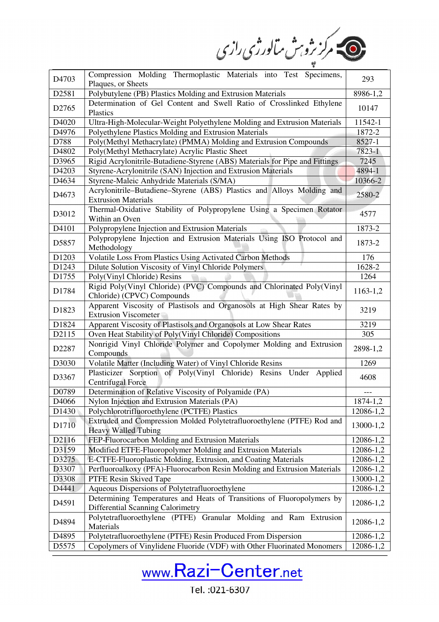ے<br>مرکز بڑو بٹ مالورژی رازی

| D4703             | Compression Molding Thermoplastic Materials into Test Specimens,                                            | 293       |
|-------------------|-------------------------------------------------------------------------------------------------------------|-----------|
|                   | Plaques, or Sheets                                                                                          |           |
| D2581             | Polybutylene (PB) Plastics Molding and Extrusion Materials                                                  | 8986-1,2  |
| D2765             | Determination of Gel Content and Swell Ratio of Crosslinked Ethylene<br>Plastics                            | 10147     |
| D4020             | Ultra-High-Molecular-Weight Polyethylene Molding and Extrusion Materials                                    | 11542-1   |
| D4976             | Polyethylene Plastics Molding and Extrusion Materials                                                       | 1872-2    |
| D788              | Poly(Methyl Methacrylate) (PMMA) Molding and Extrusion Compounds                                            | 8527-1    |
| D4802             | Poly(Methyl Methacrylate) Acrylic Plastic Sheet                                                             | 7823-1    |
| D3965             | Rigid Acrylonitrile-Butadiene-Styrene (ABS) Materials for Pipe and Fittings                                 | 7245      |
| D4203             | Styrene-Acrylonitrile (SAN) Injection and Extrusion Materials                                               | 4894-1    |
| D4634             | Styrene-Maleic Anhydride Materials (S/MA)                                                                   | 10366-2   |
| D4673             | Acrylonitrile-Butadiene-Styrene (ABS) Plastics and Alloys Molding and<br><b>Extrusion Materials</b>         | 2580-2    |
|                   | Thermal-Oxidative Stability of Polypropylene Using a Specimen Rotator                                       |           |
| D3012             | Within an Oven                                                                                              | 4577      |
| D <sub>4101</sub> | Polypropylene Injection and Extrusion Materials                                                             | 1873-2    |
| D5857             | Polypropylene Injection and Extrusion Materials Using ISO Protocol and<br>Methodology                       | 1873-2    |
| D1203             | Volatile Loss From Plastics Using Activated Carbon Methods                                                  | 176       |
| D1243             | Dilute Solution Viscosity of Vinyl Chloride Polymers                                                        | 1628-2    |
| D1755             | Poly(Vinyl Chloride) Resins                                                                                 | 1264      |
| D1784             | Rigid Poly(Vinyl Chloride) (PVC) Compounds and Chlorinated Poly(Vinyl<br>Chloride) (CPVC) Compounds         | 1163-1,2  |
| D1823             | Apparent Viscosity of Plastisols and Organosols at High Shear Rates by<br><b>Extrusion Viscometer</b>       | 3219      |
| D1824             | Apparent Viscosity of Plastisols and Organosols at Low Shear Rates                                          | 3219      |
| D2115             | Oven Heat Stability of Poly(Vinyl Chloride) Compositions                                                    | 305       |
| D2287             | Nonrigid Vinyl Chloride Polymer and Copolymer Molding and Extrusion<br>Compounds                            | 2898-1,2  |
| D3030             | Volatile Matter (Including Water) of Vinyl Chloride Resins                                                  | 1269      |
| D3367             | Plasticizer Sorption of Poly(Vinyl Chloride) Resins Under Applied<br><b>Centrifugal Force</b>               | 4608      |
| D0789             | Determination of Relative Viscosity of Polyamide (PA)                                                       |           |
| D4066             | Nylon Injection and Extrusion Materials (PA)                                                                | 1874-1,2  |
| D <sub>1430</sub> | Polychlorotrifluoroethylene (PCTFE) Plastics                                                                | 12086-1,2 |
| D1710             | Extruded and Compression Molded Polytetrafluoroethylene (PTFE) Rod and<br><b>Heavy Walled Tubing</b>        | 13000-1,2 |
| D2116             | FEP-Fluorocarbon Molding and Extrusion Materials                                                            | 12086-1,2 |
| D3159             | Modified ETFE-Fluoropolymer Molding and Extrusion Materials                                                 | 12086-1,2 |
| D3275             | E-CTFE-Fluoroplastic Molding, Extrusion, and Coating Materials                                              | 12086-1,2 |
| D3307             | Perfluoroalkoxy (PFA)-Fluorocarbon Resin Molding and Extrusion Materials                                    | 12086-1,2 |
| D3308             | PTFE Resin Skived Tape                                                                                      | 13000-1,2 |
| D4441             | Aqueous Dispersions of Polytetrafluoroethylene                                                              | 12086-1,2 |
| D4591             | Determining Temperatures and Heats of Transitions of Fluoropolymers by<br>Differential Scanning Calorimetry | 12086-1,2 |
| D4894             | Polytetrafluoroethylene (PTFE) Granular Molding and Ram Extrusion<br>Materials                              | 12086-1,2 |
| D4895             | Polytetrafluoroethylene (PTFE) Resin Produced From Dispersion                                               | 12086-1,2 |
| D5575             | Copolymers of Vinylidene Fluoride (VDF) with Other Fluorinated Monomers                                     | 12086-1,2 |



Tel.: 021-6307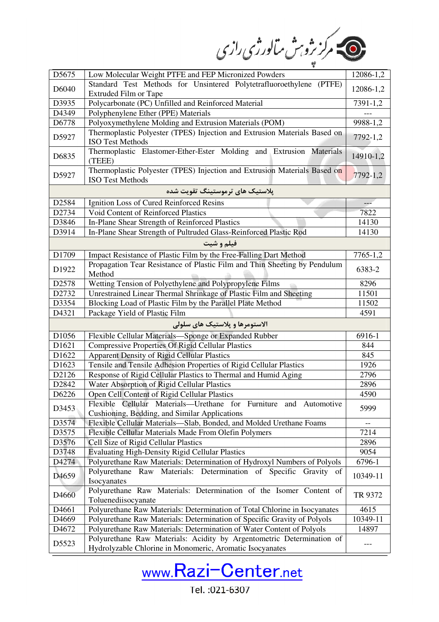ے۔<br>مرکز نژوہٹ سالورژی رازی

| D <sub>5675</sub> | Low Molecular Weight PTFE and FEP Micronized Powders                                                 | 12086-1,2 |
|-------------------|------------------------------------------------------------------------------------------------------|-----------|
| D6040             | Standard Test Methods for Unsintered Polytetrafluoroethylene (PTFE)                                  | 12086-1,2 |
|                   | Extruded Film or Tape                                                                                |           |
| D3935             | Polycarbonate (PC) Unfilled and Reinforced Material                                                  | 7391-1,2  |
| D4349             | Polyphenylene Ether (PPE) Materials                                                                  |           |
| D6778             | Polyoxymethylene Molding and Extrusion Materials (POM)                                               | 9988-1,2  |
| D5927             | Thermoplastic Polyester (TPES) Injection and Extrusion Materials Based on<br><b>ISO Test Methods</b> | 7792-1,2  |
| D6835             | Thermoplastic Elastomer-Ether-Ester Molding and Extrusion Materials<br>(TEEE)                        | 14910-1,2 |
| D5927             | Thermoplastic Polyester (TPES) Injection and Extrusion Materials Based on<br><b>ISO Test Methods</b> | 7792-1,2  |
|                   | پلاستیک های ترموستینگ تقویت شده                                                                      |           |
| D <sub>2584</sub> | Ignition Loss of Cured Reinforced Resins                                                             | $- - -$   |
| D2734             | Void Content of Reinforced Plastics                                                                  | 7822      |
| D3846             | In-Plane Shear Strength of Reinforced Plastics                                                       | 14130     |
| D3914             | In-Plane Shear Strength of Pultruded Glass-Reinforced Plastic Rod                                    | 14130     |
|                   | فيلم و شيت                                                                                           |           |
| D1709             | Impact Resistance of Plastic Film by the Free-Falling Dart Method                                    | 7765-1,2  |
|                   | Propagation Tear Resistance of Plastic Film and Thin Sheeting by Pendulum                            |           |
| D1922             | Method                                                                                               | 6383-2    |
| D2578             | Wetting Tension of Polyethylene and Polypropylene Films                                              | 8296      |
| D2732             | Unrestrained Linear Thermal Shrinkage of Plastic Film and Sheeting                                   | 11501     |
| D3354             | Blocking Load of Plastic Film by the Parallel Plate Method                                           | 11502     |
| D4321             | Package Yield of Plastic Film                                                                        | 4591      |
|                   | الاستومرها و پلاستیک های سلولی                                                                       |           |
| D1056             | Flexible Cellular Materials-Sponge or Expanded Rubber                                                | 6916-1    |
| D1621             | <b>Compressive Properties Of Rigid Cellular Plastics</b>                                             | 844       |
| D1622             | <b>Apparent Density of Rigid Cellular Plastics</b>                                                   | 845       |
| D1623             | Tensile and Tensile Adhesion Properties of Rigid Cellular Plastics                                   | 1926      |
| D2126             | Response of Rigid Cellular Plastics to Thermal and Humid Aging                                       | 2796      |
| D <sub>2842</sub> | Water Absorption of Rigid Cellular Plastics                                                          | 2896      |
| D6226             | Open Cell Content of Rigid Cellular Plastics                                                         | 4590      |
|                   | Flexible Cellular Materials—Urethane for Furniture and Automotive                                    |           |
| D3453             | Cushioning, Bedding, and Similar Applications                                                        | 5999      |
| D3574             | Flexible Cellular Materials-Slab, Bonded, and Molded Urethane Foams                                  | --        |
| D3575             | Flexible Cellular Materials Made From Olefin Polymers                                                | 7214      |
| D3576             | Cell Size of Rigid Cellular Plastics                                                                 | 2896      |
| D3748             | <b>Evaluating High-Density Rigid Cellular Plastics</b>                                               | 9054      |
| D4274             | Polyurethane Raw Materials: Determination of Hydroxyl Numbers of Polyols                             | 6796-1    |
| D <sub>4659</sub> | Polyurethane Raw Materials: Determination of Specific Gravity of<br>Isocyanates                      | 10349-11  |
| D4660             | Polyurethane Raw Materials: Determination of the Isomer Content of<br>Toluenediisocyanate            | TR 9372   |
| D <sub>4661</sub> | Polyurethane Raw Materials: Determination of Total Chlorine in Isocyanates                           | 4615      |
| D4669             | Polyurethane Raw Materials: Determination of Specific Gravity of Polyols                             | 10349-11  |
| D <sub>4672</sub> | Polyurethane Raw Materials: Determination of Water Content of Polyols                                | 14897     |
| D5523             | Polyurethane Raw Materials: Acidity by Argentometric Determination of                                |           |
|                   | Hydrolyzable Chlorine in Monomeric, Aromatic Isocyanates                                             | ---       |



Tel.: 021-6307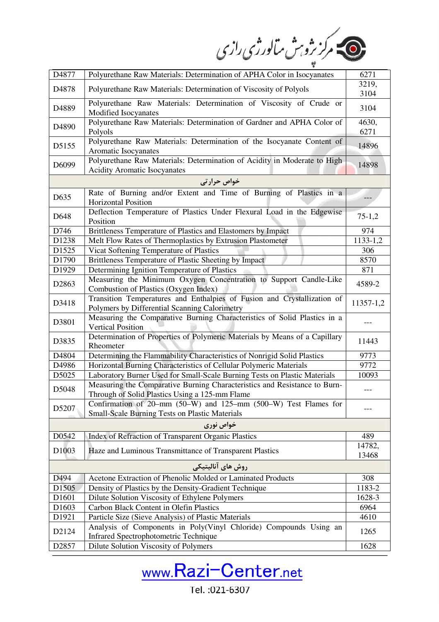ے مرکز ژو بن سالورژی رازی

| D4877             | Polyurethane Raw Materials: Determination of APHA Color in Isocyanates                                                      | 6271            |
|-------------------|-----------------------------------------------------------------------------------------------------------------------------|-----------------|
| D4878             | Polyurethane Raw Materials: Determination of Viscosity of Polyols                                                           | 3219,           |
|                   |                                                                                                                             | 3104            |
| D4889             | Polyurethane Raw Materials: Determination of Viscosity of Crude or<br>Modified Isocyanates                                  | 3104            |
|                   | Polyurethane Raw Materials: Determination of Gardner and APHA Color of                                                      | 4630,           |
| D4890             | Polyols                                                                                                                     | 6271            |
|                   | Polyurethane Raw Materials: Determination of the Isocyanate Content of                                                      |                 |
| D5155             | Aromatic Isocyanates                                                                                                        | 14896           |
| D6099             | Polyurethane Raw Materials: Determination of Acidity in Moderate to High<br><b>Acidity Aromatic Isocyanates</b>             | 14898           |
|                   | خواص حرارتی                                                                                                                 |                 |
|                   | Rate of Burning and/or Extent and Time of Burning of Plastics in a                                                          |                 |
| D635              | <b>Horizontal Position</b>                                                                                                  |                 |
| D648              | Deflection Temperature of Plastics Under Flexural Load in the Edgewise                                                      | $75-1,2$        |
|                   | Position                                                                                                                    |                 |
| D746              | Brittleness Temperature of Plastics and Elastomers by Impact                                                                | 974             |
| D1238             | Melt Flow Rates of Thermoplastics by Extrusion Plastometer                                                                  | $1133 - 1,2$    |
| D1525             | Vicat Softening Temperature of Plastics                                                                                     | 306             |
| D1790             | Brittleness Temperature of Plastic Sheeting by Impact                                                                       | 8570            |
| D1929             | Determining Ignition Temperature of Plastics                                                                                | 871             |
| D2863             | Measuring the Minimum Oxygen Concentration to Support Candle-Like<br>Combustion of Plastics (Oxygen Index)                  | 4589-2          |
| D3418             | Transition Temperatures and Enthalpies of Fusion and Crystallization of                                                     | 11357-1,2       |
|                   | Polymers by Differential Scanning Calorimetry<br>Measuring the Comparative Burning Characteristics of Solid Plastics in a   |                 |
| D3801             | <b>Vertical Position</b>                                                                                                    |                 |
| D3835             | Determination of Properties of Polymeric Materials by Means of a Capillary                                                  | 11443           |
|                   | Rheometer                                                                                                                   |                 |
| D4804             | Determining the Flammability Characteristics of Nonrigid Solid Plastics                                                     | 9773            |
| D4986             | Horizontal Burning Characteristics of Cellular Polymeric Materials                                                          | 9772            |
| D5025             | Laboratory Burner Used for Small-Scale Burning Tests on Plastic Materials                                                   | 10093           |
| D5048             | Measuring the Comparative Burning Characteristics and Resistance to Burn-<br>Through of Solid Plastics Using a 125-mm Flame |                 |
|                   | Confirmation of 20-mm (50-W) and 125-mm (500-W) Test Flames for                                                             |                 |
| D5207             | <b>Small-Scale Burning Tests on Plastic Materials</b>                                                                       |                 |
|                   | خواص نوري                                                                                                                   |                 |
| D0542             | Index of Refraction of Transparent Organic Plastics                                                                         | 489             |
| D <sub>1003</sub> | Haze and Luminous Transmittance of Transparent Plastics                                                                     | 14782,<br>13468 |
|                   | روش های آنالیتیکی                                                                                                           |                 |
| D494              | Acetone Extraction of Phenolic Molded or Laminated Products                                                                 | 308             |
| D1505             | Density of Plastics by the Density-Gradient Technique                                                                       | 1183-2          |
| D1601             | Dilute Solution Viscosity of Ethylene Polymers                                                                              | 1628-3          |
| D <sub>1603</sub> | Carbon Black Content in Olefin Plastics                                                                                     | 6964            |
| D1921             | Particle Size (Sieve Analysis) of Plastic Materials                                                                         | 4610            |
| D2124             | Analysis of Components in Poly(Vinyl Chloride) Compounds Using an                                                           | 1265            |
|                   | <b>Infrared Spectrophotometric Technique</b>                                                                                |                 |
| D2857             | Dilute Solution Viscosity of Polymers                                                                                       | 1628            |